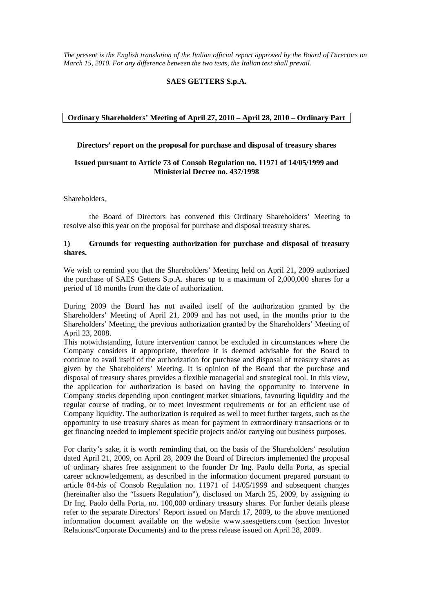#### **SAES GETTERS S.p.A.**

#### **Ordinary Shareholders' Meeting of April 27, 2010 – April 28, 2010 – Ordinary Part**

#### **Directors' report on the proposal for purchase and disposal of treasury shares**

## **Issued pursuant to Article 73 of Consob Regulation no. 11971 of 14/05/1999 and Ministerial Decree no. 437/1998**

Shareholders,

 the Board of Directors has convened this Ordinary Shareholders' Meeting to resolve also this year on the proposal for purchase and disposal treasury shares.

### **1) Grounds for requesting authorization for purchase and disposal of treasury shares.**

We wish to remind you that the Shareholders' Meeting held on April 21, 2009 authorized the purchase of SAES Getters S.p.A. shares up to a maximum of 2,000,000 shares for a period of 18 months from the date of authorization.

During 2009 the Board has not availed itself of the authorization granted by the Shareholders' Meeting of April 21, 2009 and has not used, in the months prior to the Shareholders' Meeting, the previous authorization granted by the Shareholders' Meeting of April 23, 2008.

This notwithstanding, future intervention cannot be excluded in circumstances where the Company considers it appropriate, therefore it is deemed advisable for the Board to continue to avail itself of the authorization for purchase and disposal of treasury shares as given by the Shareholders' Meeting. It is opinion of the Board that the purchase and disposal of treasury shares provides a flexible managerial and strategical tool. In this view, the application for authorization is based on having the opportunity to intervene in Company stocks depending upon contingent market situations, favouring liquidity and the regular course of trading, or to meet investment requirements or for an efficient use of Company liquidity. The authorization is required as well to meet further targets, such as the opportunity to use treasury shares as mean for payment in extraordinary transactions or to get financing needed to implement specific projects and/or carrying out business purposes.

For clarity's sake, it is worth reminding that, on the basis of the Shareholders' resolution dated April 21, 2009, on April 28, 2009 the Board of Directors implemented the proposal of ordinary shares free assignment to the founder Dr Ing. Paolo della Porta, as special career acknowledgement, as described in the information document prepared pursuant to article 84*-bis* of Consob Regulation no. 11971 of 14/05/1999 and subsequent changes (hereinafter also the "Issuers Regulation"), disclosed on March 25, 2009, by assigning to Dr Ing. Paolo della Porta, no. 100,000 ordinary treasury shares. For further details please refer to the separate Directors' Report issued on March 17, 2009, to the above mentioned information document available on the website www.saesgetters.com (section Investor Relations/Corporate Documents) and to the press release issued on April 28, 2009.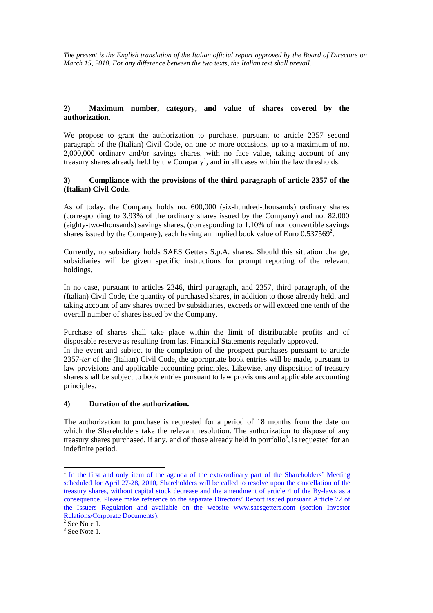# **2) Maximum number, category, and value of shares covered by the authorization.**

We propose to grant the authorization to purchase, pursuant to article 2357 second paragraph of the (Italian) Civil Code, on one or more occasions, up to a maximum of no. 2,000,000 ordinary and/or savings shares, with no face value, taking account of any treasury shares already held by the Company<sup>1</sup>, and in all cases within the law thresholds.

### **3) Compliance with the provisions of the third paragraph of article 2357 of the (Italian) Civil Code.**

As of today, the Company holds no. 600,000 (six-hundred-thousands) ordinary shares (corresponding to 3.93% of the ordinary shares issued by the Company) and no. 82,000 (eighty-two-thousands) savings shares, (corresponding to 1.10% of non convertible savings shares issued by the Company), each having an implied book value of Euro  $0.537569^2$ .

Currently, no subsidiary holds SAES Getters S.p.A. shares. Should this situation change, subsidiaries will be given specific instructions for prompt reporting of the relevant holdings.

In no case, pursuant to articles 2346, third paragraph, and 2357, third paragraph, of the (Italian) Civil Code, the quantity of purchased shares, in addition to those already held, and taking account of any shares owned by subsidiaries, exceeds or will exceed one tenth of the overall number of shares issued by the Company.

Purchase of shares shall take place within the limit of distributable profits and of disposable reserve as resulting from last Financial Statements regularly approved.

In the event and subject to the completion of the prospect purchases pursuant to article 2357*-ter* of the (Italian) Civil Code, the appropriate book entries will be made, pursuant to law provisions and applicable accounting principles. Likewise, any disposition of treasury shares shall be subject to book entries pursuant to law provisions and applicable accounting principles.

# **4) Duration of the authorization.**

The authorization to purchase is requested for a period of 18 months from the date on which the Shareholders take the relevant resolution. The authorization to dispose of any treasury shares purchased, if any, and of those already held in portfolio<sup>3</sup>, is requested for an indefinite period.

 $\overline{a}$ 

<sup>&</sup>lt;sup>1</sup> In the first and only item of the agenda of the extraordinary part of the Shareholders' Meeting scheduled for April 27-28, 2010, Shareholders will be called to resolve upon the cancellation of the treasury shares, without capital stock decrease and the amendment of article 4 of the By-laws as a consequence. Please make reference to the separate Directors' Report issued pursuant Article 72 of the Issuers Regulation and available on the website www.saesgetters.com (section Investor Relations/Corporate Documents).

 $2$  See Note 1.

 $3$  See Note 1.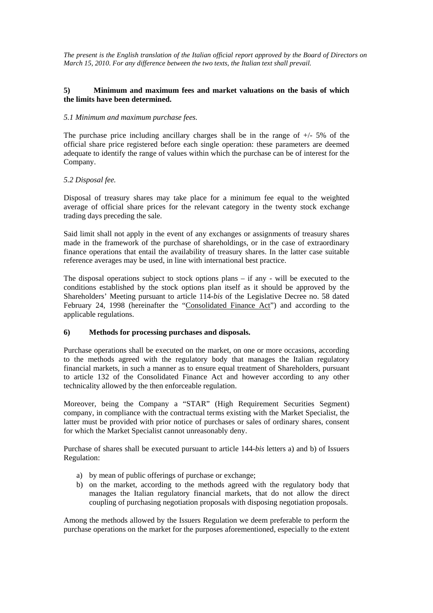## **5) Minimum and maximum fees and market valuations on the basis of which the limits have been determined.**

#### *5.1 Minimum and maximum purchase fees.*

The purchase price including ancillary charges shall be in the range of  $+/-5\%$  of the official share price registered before each single operation: these parameters are deemed adequate to identify the range of values within which the purchase can be of interest for the Company.

## *5.2 Disposal fee.*

Disposal of treasury shares may take place for a minimum fee equal to the weighted average of official share prices for the relevant category in the twenty stock exchange trading days preceding the sale.

Said limit shall not apply in the event of any exchanges or assignments of treasury shares made in the framework of the purchase of shareholdings, or in the case of extraordinary finance operations that entail the availability of treasury shares. In the latter case suitable reference averages may be used, in line with international best practice.

The disposal operations subject to stock options plans – if any - will be executed to the conditions established by the stock options plan itself as it should be approved by the Shareholders' Meeting pursuant to article 114*-bis* of the Legislative Decree no. 58 dated February 24, 1998 (hereinafter the "Consolidated Finance Act") and according to the applicable regulations.

## **6) Methods for processing purchases and disposals.**

Purchase operations shall be executed on the market, on one or more occasions, according to the methods agreed with the regulatory body that manages the Italian regulatory financial markets, in such a manner as to ensure equal treatment of Shareholders, pursuant to article 132 of the Consolidated Finance Act and however according to any other technicality allowed by the then enforceable regulation.

Moreover, being the Company a "STAR" (High Requirement Securities Segment) company, in compliance with the contractual terms existing with the Market Specialist, the latter must be provided with prior notice of purchases or sales of ordinary shares, consent for which the Market Specialist cannot unreasonably deny.

Purchase of shares shall be executed pursuant to article 144*-bis* letters a) and b) of Issuers Regulation:

- a) by mean of public offerings of purchase or exchange;
- b) on the market, according to the methods agreed with the regulatory body that manages the Italian regulatory financial markets, that do not allow the direct coupling of purchasing negotiation proposals with disposing negotiation proposals.

Among the methods allowed by the Issuers Regulation we deem preferable to perform the purchase operations on the market for the purposes aforementioned, especially to the extent